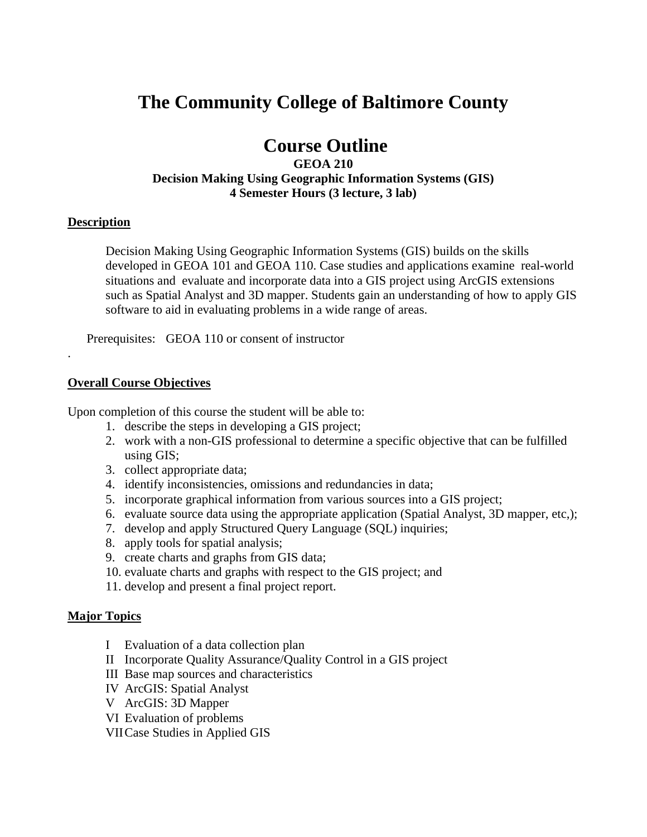# **The Community College of Baltimore County**

# **Course Outline**

# **GEOA 210 Decision Making Using Geographic Information Systems (GIS) 4 Semester Hours (3 lecture, 3 lab)**

#### **Description**

.

Decision Making Using Geographic Information Systems (GIS) builds on the skills developed in GEOA 101 and GEOA 110. Case studies and applications examine real-world situations and evaluate and incorporate data into a GIS project using ArcGIS extensions such as Spatial Analyst and 3D mapper. Students gain an understanding of how to apply GIS software to aid in evaluating problems in a wide range of areas.

Prerequisites: GEOA 110 or consent of instructor

#### **Overall Course Objectives**

Upon completion of this course the student will be able to:

- 1. describe the steps in developing a GIS project;
- 2. work with a non-GIS professional to determine a specific objective that can be fulfilled using GIS;
- 3. collect appropriate data;
- 4. identify inconsistencies, omissions and redundancies in data;
- 5. incorporate graphical information from various sources into a GIS project;
- 6. evaluate source data using the appropriate application (Spatial Analyst, 3D mapper, etc,);
- 7. develop and apply Structured Query Language (SQL) inquiries;
- 8. apply tools for spatial analysis;
- 9. create charts and graphs from GIS data;
- 10. evaluate charts and graphs with respect to the GIS project; and
- 11. develop and present a final project report.

#### **Major Topics**

- I Evaluation of a data collection plan
- II Incorporate Quality Assurance/Quality Control in a GIS project
- III Base map sources and characteristics
- IV ArcGIS: Spatial Analyst
- V ArcGIS: 3D Mapper
- VI Evaluation of problems
- VII Case Studies in Applied GIS